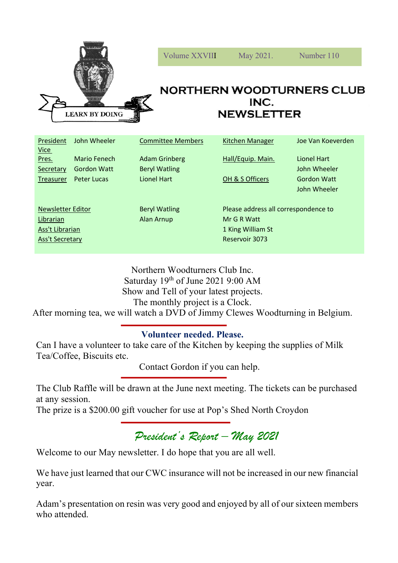

| President<br><u>Vice</u> | John Wheeler       | <b>Committee Members</b> | Kitchen Manager                      | Joe Van Koeverden  |
|--------------------------|--------------------|--------------------------|--------------------------------------|--------------------|
| Pres.                    | Mario Fenech       | <b>Adam Grinberg</b>     | Hall/Equip. Main.                    | Lionel Hart        |
| Secretary                | <b>Gordon Watt</b> | <b>Beryl Watling</b>     |                                      | John Wheeler       |
| Treasurer                | Peter Lucas        | <b>Lionel Hart</b>       | OH & S Officers                      | <b>Gordon Watt</b> |
|                          |                    |                          |                                      | John Wheeler       |
|                          |                    |                          |                                      |                    |
| <b>Newsletter Editor</b> |                    | <b>Beryl Watling</b>     | Please address all correspondence to |                    |
| Librarian                |                    | Alan Arnup               | Mr G R Watt                          |                    |
| Ass't Librarian          |                    |                          | 1 King William St                    |                    |
| <b>Ass't Secretary</b>   |                    |                          | Reservoir 3073                       |                    |
|                          |                    |                          |                                      |                    |

Northern Woodturners Club Inc. Saturday 19<sup>th</sup> of June 2021 9:00 AM Show and Tell of your latest projects. The monthly project is a Clock.

After morning tea, we will watch a DVD of Jimmy Clewes Woodturning in Belgium.

## **Volunteer needed. Please.**

Can I have a volunteer to take care of the Kitchen by keeping the supplies of Milk Tea/Coffee, Biscuits etc.

Contact Gordon if you can help.

The Club Raffle will be drawn at the June next meeting. The tickets can be purchased at any session.

The prize is a \$200.00 gift voucher for use at Pop's Shed North Croydon

*President's Report – May 2021*

Welcome to our May newsletter. I do hope that you are all well.

We have just learned that our CWC insurance will not be increased in our new financial year.

Adam's presentation on resin was very good and enjoyed by all of our sixteen members who attended.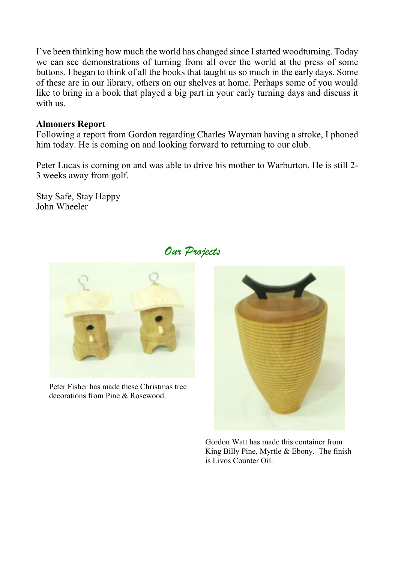I've been thinking how much the world has changed since I started woodturning. Today we can see demonstrations of turning from all over the world at the press of some buttons. I began to think of all the books that taught us so much in the early days. Some of these are in our library, others on our shelves at home. Perhaps some of you would like to bring in a book that played a big part in your early turning days and discuss it with us.

## **Almoners Report**

Following a report from Gordon regarding Charles Wayman having a stroke, I phoned him today. He is coming on and looking forward to returning to our club.

Peter Lucas is coming on and was able to drive his mother to Warburton. He is still 2- 3 weeks away from golf.

Stay Safe, Stay Happy John Wheeler



Peter Fisher has made these Christmas tree decorations from Pine & Rosewood.



Gordon Watt has made this container from King Billy Pine, Myrtle & Ebony. The finish is Livos Counter Oil.

## *Our Projects*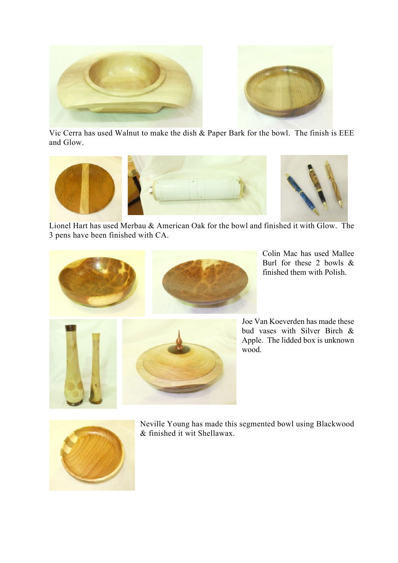

Vic Cerra has used Walnut to make the dish & Paper Bark for the bowl. The finish is EEE and Glow.



Lionel Hart has used Merbau & American Oak for the bowl and finished it with Glow. The 3 pens have been finished with CA.



Colin Mac has used Mallee Burl for these 2 bowls & finished them with Polish.



Joe Van Koeverden has made these bud vases with Silver Birch & Apple. The lidded box is unknown wood.



Neville Young has made this segmented bowl using Blackwood & finished it wit Shellawax.